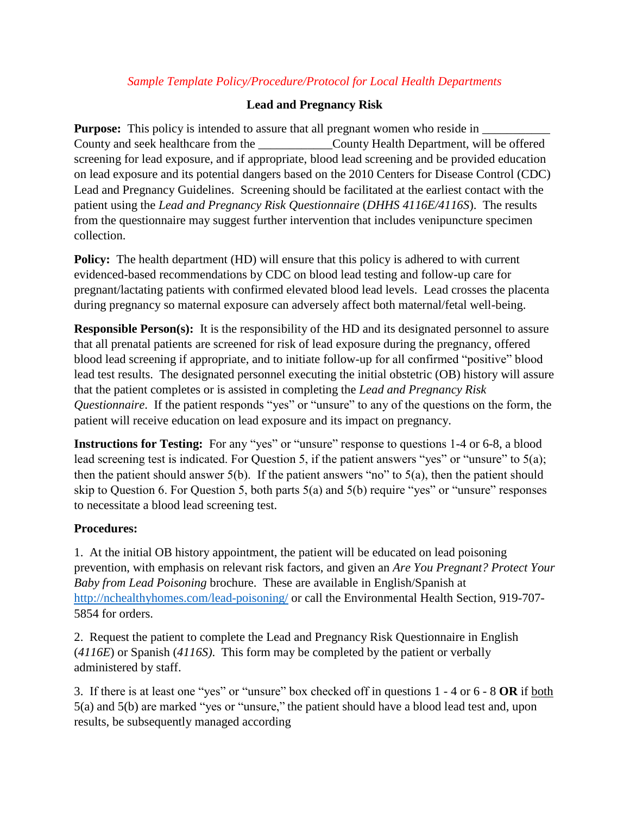# *Sample Template Policy/Procedure/Protocol for Local Health Departments*

# **Lead and Pregnancy Risk**

**Purpose:** This policy is intended to assure that all pregnant women who reside in  $\Box$ County and seek healthcare from the County Health Department, will be offered screening for lead exposure, and if appropriate, blood lead screening and be provided education on lead exposure and its potential dangers based on the 2010 Centers for Disease Control (CDC) Lead and Pregnancy Guidelines. Screening should be facilitated at the earliest contact with the patient using the *Lead and Pregnancy Risk Questionnaire* (*DHHS 4116E/4116S*). The results from the questionnaire may suggest further intervention that includes venipuncture specimen collection.

**Policy:** The health department (HD) will ensure that this policy is adhered to with current evidenced-based recommendations by CDC on blood lead testing and follow-up care for pregnant/lactating patients with confirmed elevated blood lead levels. Lead crosses the placenta during pregnancy so maternal exposure can adversely affect both maternal/fetal well-being.

**Responsible Person(s):** It is the responsibility of the HD and its designated personnel to assure that all prenatal patients are screened for risk of lead exposure during the pregnancy, offered blood lead screening if appropriate, and to initiate follow-up for all confirmed "positive" blood lead test results. The designated personnel executing the initial obstetric (OB) history will assure that the patient completes or is assisted in completing the *Lead and Pregnancy Risk Questionnaire*. If the patient responds "yes" or "unsure" to any of the questions on the form, the patient will receive education on lead exposure and its impact on pregnancy.

**Instructions for Testing:** For any "yes" or "unsure" response to questions 1-4 or 6-8, a blood lead screening test is indicated. For Question 5, if the patient answers "yes" or "unsure" to 5(a); then the patient should answer  $5(b)$ . If the patient answers "no" to  $5(a)$ , then the patient should skip to Question 6. For Question 5, both parts 5(a) and 5(b) require "yes" or "unsure" responses to necessitate a blood lead screening test.

### **Procedures:**

1. At the initial OB history appointment, the patient will be educated on lead poisoning prevention, with emphasis on relevant risk factors, and given an *Are You Pregnant? Protect Your Baby from Lead Poisoning* brochure. These are available in English/Spanish at <http://nchealthyhomes.com/lead-poisoning/> or call the Environmental Health Section, 919-707- 5854 for orders.

2. Request the patient to complete the Lead and Pregnancy Risk Questionnaire in English (*4116E*) or Spanish (*4116S)*. This form may be completed by the patient or verbally administered by staff.

3. If there is at least one "yes" or "unsure" box checked off in questions 1 - 4 or 6 - 8 **OR** if both 5(a) and 5(b) are marked "yes or "unsure," the patient should have a blood lead test and, upon results, be subsequently managed according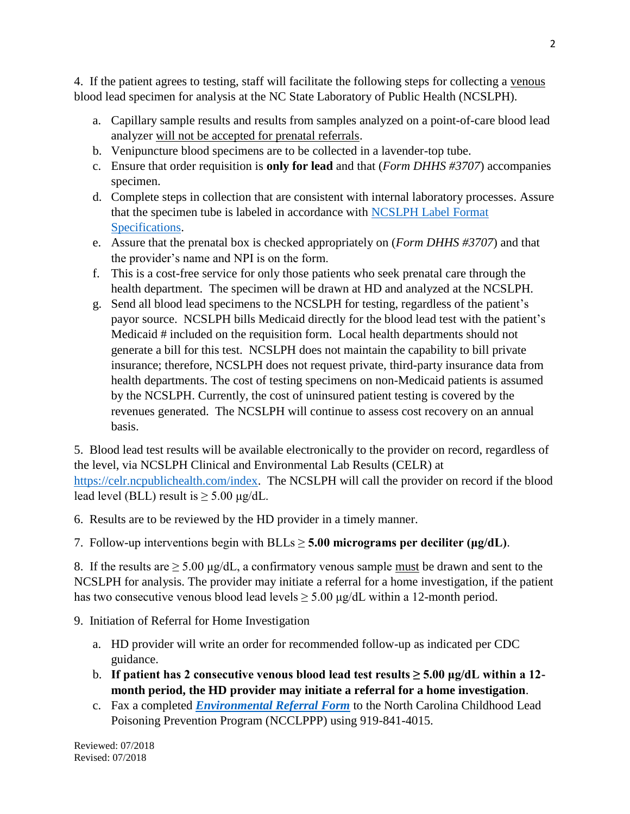4. If the patient agrees to testing, staff will facilitate the following steps for collecting a venous blood lead specimen for analysis at the NC State Laboratory of Public Health (NCSLPH).

- a. Capillary sample results and results from samples analyzed on a point-of-care blood lead analyzer will not be accepted for prenatal referrals.
- b. Venipuncture blood specimens are to be collected in a lavender-top tube.
- c. Ensure that order requisition is **only for lead** and that (*Form DHHS #3707*) accompanies specimen.
- d. Complete steps in collection that are consistent with internal laboratory processes. Assure that the specimen tube is labeled in accordance with [NCSLPH Label Format](https://slph.ncpublichealth.com/doc/HIS-HIV-SampleLabelFormatSpecs-ver1-3-KS.pdf)  [Specifications.](https://slph.ncpublichealth.com/doc/HIS-HIV-SampleLabelFormatSpecs-ver1-3-KS.pdf)
- e. Assure that the prenatal box is checked appropriately on (*Form DHHS #3707*) and that the provider's name and NPI is on the form.
- f. This is a cost-free service for only those patients who seek prenatal care through the health department. The specimen will be drawn at HD and analyzed at the NCSLPH.
- g. Send all blood lead specimens to the NCSLPH for testing, regardless of the patient's payor source. NCSLPH bills Medicaid directly for the blood lead test with the patient's Medicaid # included on the requisition form. Local health departments should not generate a bill for this test. NCSLPH does not maintain the capability to bill private insurance; therefore, NCSLPH does not request private, third-party insurance data from health departments. The cost of testing specimens on non-Medicaid patients is assumed by the NCSLPH. Currently, the cost of uninsured patient testing is covered by the revenues generated. The NCSLPH will continue to assess cost recovery on an annual basis.

5. Blood lead test results will be available electronically to the provider on record, regardless of the level, via NCSLPH Clinical and Environmental Lab Results (CELR) at [https://celr.ncpublichealth.com/index.](https://celr.ncpublichealth.com/index) The NCSLPH will call the provider on record if the blood lead level (BLL) result is  $\geq 5.00 \mu g/dL$ .

6. Results are to be reviewed by the HD provider in a timely manner.

7. Follow-up interventions begin with  $BLLs \ge 5.00$  micrograms per deciliter ( $\mu$ g/dL).

8. If the results are  $\geq 5.00 \mu g/dL$ , a confirmatory venous sample must be drawn and sent to the NCSLPH for analysis. The provider may initiate a referral for a home investigation, if the patient has two consecutive venous blood lead levels  $\geq 5.00 \mu g/dL$  within a 12-month period.

- 9. Initiation of Referral for Home Investigation
	- a. HD provider will write an order for recommended follow-up as indicated per CDC guidance.
	- b. **If patient has 2 consecutive venous blood lead test results ≥ 5.00 μg/dL within a 12 month period, the HD provider may initiate a referral for a home investigation**.
	- c. Fax a completed *[Environmental Referral Form](https://nchealthyhomes.com/files/2017/12/PrenatalLeadInvestigationReferralForm_FINAL_Dec2017.pdf)* to the North Carolina Childhood Lead Poisoning Prevention Program (NCCLPPP) using 919-841-4015.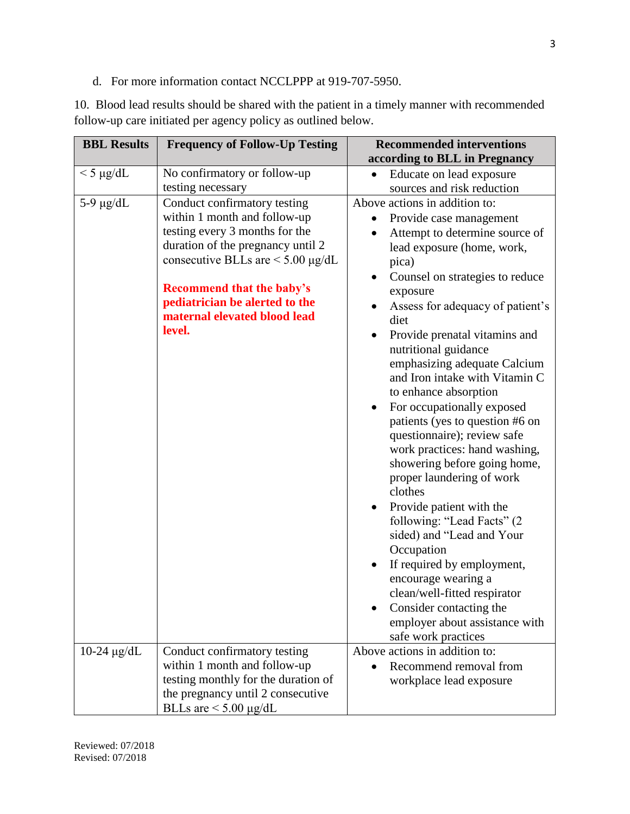d. For more information contact NCCLPPP at 919-707-5950.

10. Blood lead results should be shared with the patient in a timely manner with recommended follow-up care initiated per agency policy as outlined below.

| <b>BBL Results</b> | <b>Frequency of Follow-Up Testing</b>  | <b>Recommended interventions</b>                     |  |
|--------------------|----------------------------------------|------------------------------------------------------|--|
|                    |                                        | according to BLL in Pregnancy                        |  |
| $<$ 5 µg/dL        | No confirmatory or follow-up           | Educate on lead exposure<br>$\bullet$                |  |
|                    | testing necessary                      | sources and risk reduction                           |  |
| 5-9 $\mu$ g/dL     | Conduct confirmatory testing           | Above actions in addition to:                        |  |
|                    | within 1 month and follow-up           | Provide case management                              |  |
|                    | testing every 3 months for the         | Attempt to determine source of                       |  |
|                    | duration of the pregnancy until 2      | lead exposure (home, work,                           |  |
|                    | consecutive BLLs are $\leq$ 5.00 µg/dL | pica)                                                |  |
|                    |                                        | Counsel on strategies to reduce                      |  |
|                    | <b>Recommend that the baby's</b>       | exposure                                             |  |
|                    | pediatrician be alerted to the         | Assess for adequacy of patient's                     |  |
|                    | maternal elevated blood lead           | diet                                                 |  |
|                    | level.                                 | Provide prenatal vitamins and                        |  |
|                    |                                        | nutritional guidance<br>emphasizing adequate Calcium |  |
|                    |                                        | and Iron intake with Vitamin C                       |  |
|                    |                                        | to enhance absorption                                |  |
|                    |                                        | For occupationally exposed<br>$\bullet$              |  |
|                    |                                        | patients (yes to question #6 on                      |  |
|                    |                                        | questionnaire); review safe                          |  |
|                    |                                        | work practices: hand washing,                        |  |
|                    |                                        | showering before going home,                         |  |
|                    |                                        | proper laundering of work                            |  |
|                    |                                        | clothes                                              |  |
|                    |                                        | Provide patient with the                             |  |
|                    |                                        | following: "Lead Facts" (2                           |  |
|                    |                                        | sided) and "Lead and Your                            |  |
|                    |                                        | Occupation                                           |  |
|                    |                                        | If required by employment,<br>$\bullet$              |  |
|                    |                                        | encourage wearing a                                  |  |
|                    |                                        | clean/well-fitted respirator                         |  |
|                    |                                        | Consider contacting the                              |  |
|                    |                                        | employer about assistance with                       |  |
|                    |                                        | safe work practices                                  |  |
| $10-24 \mu g/dL$   | Conduct confirmatory testing           | Above actions in addition to:                        |  |
|                    | within 1 month and follow-up           | Recommend removal from                               |  |
|                    | testing monthly for the duration of    | workplace lead exposure                              |  |
|                    | the pregnancy until 2 consecutive      |                                                      |  |
|                    | BLLs are $\leq 5.00 \mu g/dL$          |                                                      |  |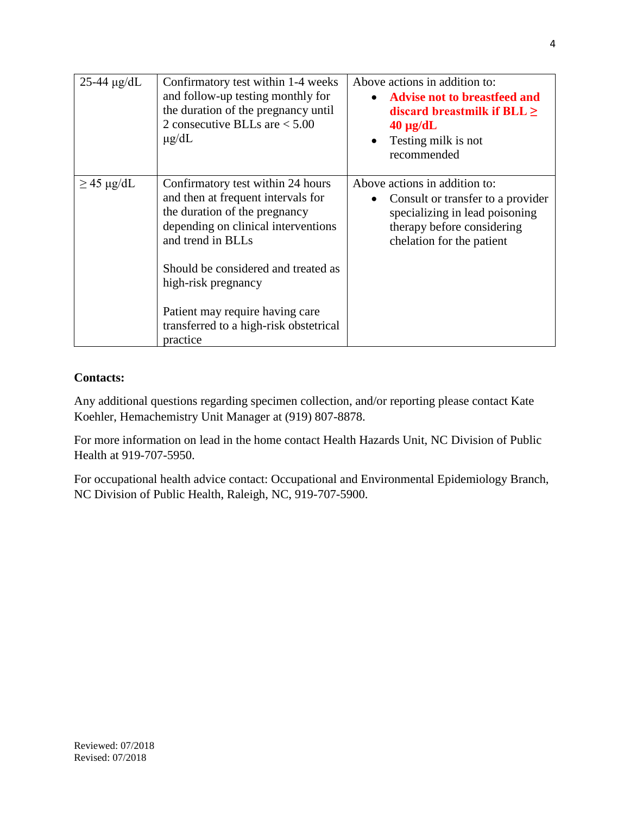| $25-44 \mu g/dL$ | Confirmatory test within 1-4 weeks<br>and follow-up testing monthly for<br>the duration of the pregnancy until<br>2 consecutive BLLs are $< 5.00$<br>$\mu$ g/dL                                                                                                                                                             | Above actions in addition to:<br><b>Advise not to breastfeed and</b><br>discard breastmilk if $BLL \geq$<br>$40 \mu g/dL$<br>Testing milk is not<br>$\bullet$<br>recommended |
|------------------|-----------------------------------------------------------------------------------------------------------------------------------------------------------------------------------------------------------------------------------------------------------------------------------------------------------------------------|------------------------------------------------------------------------------------------------------------------------------------------------------------------------------|
| $\geq$ 45 µg/dL  | Confirmatory test within 24 hours<br>and then at frequent intervals for<br>the duration of the pregnancy<br>depending on clinical interventions<br>and trend in BLLs<br>Should be considered and treated as<br>high-risk pregnancy<br>Patient may require having care<br>transferred to a high-risk obstetrical<br>practice | Above actions in addition to:<br>Consult or transfer to a provider<br>specializing in lead poisoning<br>therapy before considering<br>chelation for the patient              |

# **Contacts:**

Any additional questions regarding specimen collection, and/or reporting please contact Kate Koehler, Hemachemistry Unit Manager at (919) 807-8878.

For more information on lead in the home contact Health Hazards Unit, NC Division of Public Health at 919-707-5950.

For occupational health advice contact: Occupational and Environmental Epidemiology Branch, NC Division of Public Health, Raleigh, NC, 919-707-5900.